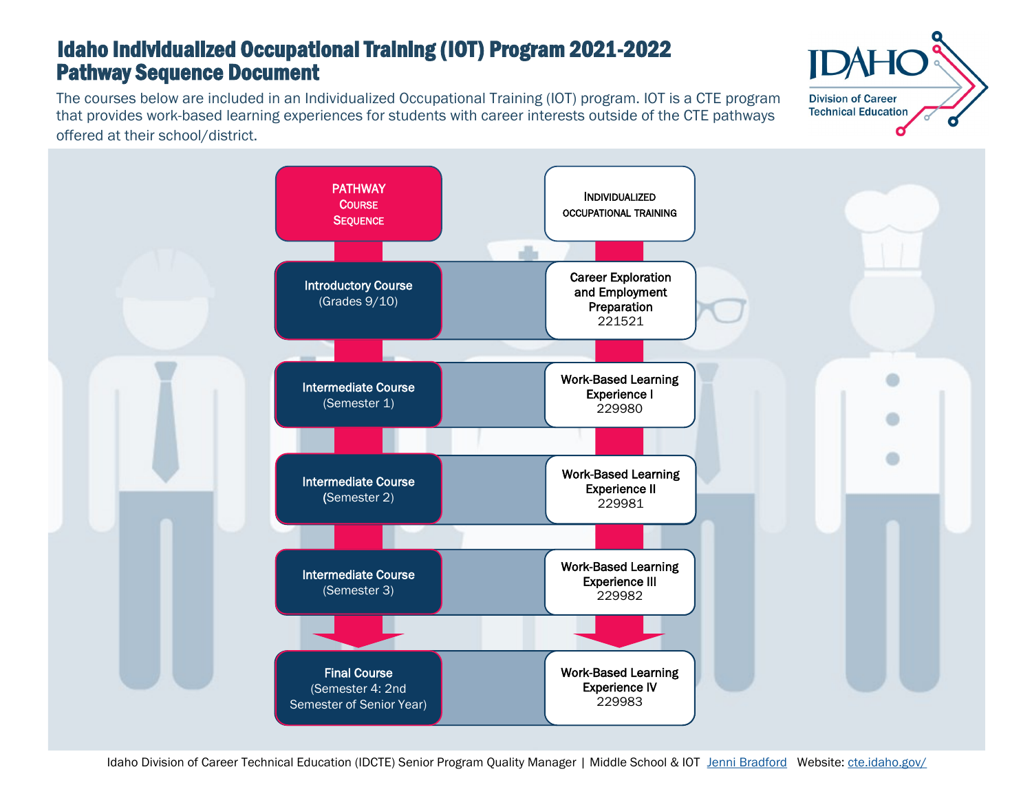# Pathway Sequence Document Idaho Individualized Occupational Training (IOT) Program 2021-2022

The courses below are included in an Individualized Occupational Training (IOT) program. IOT is a CTE program that provides work-based learning experiences for students with career interests outside of the CTE pathways offered at their school/district.



**Division of Career Technical Education**